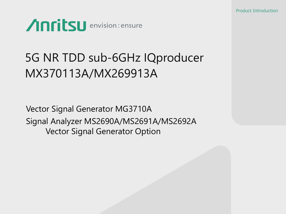

# 5G NR TDD sub-6GHz IQproducer MX370113A/MX269913A

Vector Signal Generator MG3710A Signal Analyzer MS2690A/MS2691A/MS2692A Vector Signal Generator Option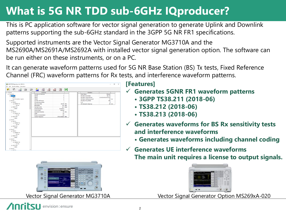## **What is 5G NR TDD sub-6GHz IQproducer?**

This is PC application software for vector signal generation to generate Uplink and Downlink patterns supporting the sub-6GHz standard in the 3GPP 5G NR FR1 specifications.

Supported instruments are the Vector Signal Generator MG3710A and the MS2690A/MS2691A/MS2692A with installed vector signal generation option. The software can be run either on these instruments, or on a PC.

It can generate waveform patterns used for 5G NR Base Station (BS) Tx tests, Fixed Reference Channel (FRC) waveform patterns for Rx tests, and interference waveform patterns.





#### **[Features]**

- **Generates 5GNR FR1 waveform patterns**
	- **3GPP TS38.211 (2018-06)**
	- **TS38.212 (2018-06)**
	- **TS38.213 (2018-06)**
- **Generates waveforms for BS Rx sensitivity tests and interference waveforms**
	- **Generates waveforms including channel coding**
- **Generates UE interference waveforms The main unit requires a license to output signals.**



Vector Signal Generator MG3710A Vector Signal Generator Option MS269xA-020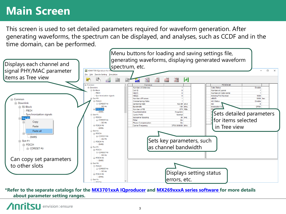### **Main Screen**

This screen is used to set detailed parameters required for waveform generation. After generating waveforms, the spectrum can be displayed, and analyses, such as CCDF and in the time domain, can be performed.



**\*Refer to the separate catalogs for the [MX3701xxA IQproducer](https://www.anritsu.com/en-AU/test-measurement/support/downloads/brochures-datasheets-and-catalogs/dwl009470) and [MX269xxxA series software](https://www.anritsu.com/en-AU/test-measurement/support/downloads/brochures-datasheets-and-catalogs/dwl008705) for more details about parameter setting ranges.**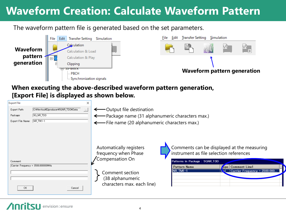## **Waveform Creation: Calculate Waveform Pattern**

The waveform pattern file is generated based on the set parameters.



#### **When executing the above-described waveform pattern generation, [Export File] is displayed as shown below.**

| <b>Export File</b><br>×<br>C:¥Anritsu¥IQproducer¥5GNR_TDD¥Data<br>Export Path:<br>$\overline{\phantom{a}}$<br>5G_NR_TDD<br>Package:<br>$NR_$ TM1-1<br>Export File Name: |        | ← Output file destination<br>-Package name (31 alphanumeric characters max.)<br>File name (20 alphanumeric characters max.) |                                                                                                                                         |                                                                                                                                                                                                                                  |
|-------------------------------------------------------------------------------------------------------------------------------------------------------------------------|--------|-----------------------------------------------------------------------------------------------------------------------------|-----------------------------------------------------------------------------------------------------------------------------------------|----------------------------------------------------------------------------------------------------------------------------------------------------------------------------------------------------------------------------------|
| Comment<br>Carrier Frequency = 3500.000000MHz<br>OK.                                                                                                                    | Cancel |                                                                                                                             | Automatically registers<br>frequency when Phase<br>Compensation On<br>Comment section<br>(38 alphanumeric<br>characters max. each line) | Comments can be displayed at the measuring<br>instrument as file selection references<br>Patterns in Package: 5GNR_TDD<br>Pattern Name<br><b>Type   Comment Line1</b><br>$NR$ TM1-1<br>$\sqrt{vi}$ Carrier Frequency = 3500.000. |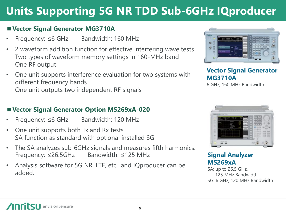# **Units Supporting 5G NR TDD Sub-6GHz IQproducer**

#### ■ Vector Signal Generator MG3710A

- Frequency: ≤6 GHz Bandwidth: 160 MHz
- 2 waveform addition function for effective interfering wave tests Two types of waveform memory settings in 160-MHz band One RF output
- One unit supports interference evaluation for two systems with different frequency bands One unit outputs two independent RF signals

# $\circ$

#### **Vector Signal Generator MG3710A**

6 GHz, 160 MHz Bandwidth

#### ■ Vector Signal Generator Option MS269xA-020

- Frequency: ≤6 GHz Bandwidth: 120 MHz
- One unit supports both Tx and Rx tests SA function as standard with optional installed SG
- The SA analyzes sub-6GHz signals and measures fifth harmonics. Frequency: ≤26.5GHz Bandwidth: ≤125 MHz
- Analysis software for 5G NR, LTE, etc., and IQproducer can be added.



#### **Signal Analyzer MS269xA**

SA: up to 26.5 GHz, 125 MHz Bandwidth SG: 6 GHz, 120 MHz Bandwidth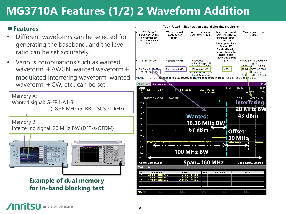## **MG3710A Features (1/2) 2 Waveform Addition**

#### ■**Features**

- Different waveforms can be selected for generating the baseband, and the level ratio can be set accurately.
- Various combinations such as wanted waveform  $+$  AWGN, wanted waveform  $+$ modulated interfering waveform, wanted waveform +CW, etc., can be set

Memory A: Wanted signal: G-FR1-A1-3 (18.36 MHz (51RB), SCS:30 kHz)

Memory B: Interfering signal: 20 MHz BW (DFT-s-OFDM)



**Example of dual memory for In-band blocking test**



Table 7.4.2.5-1: Base station general blocking requirement.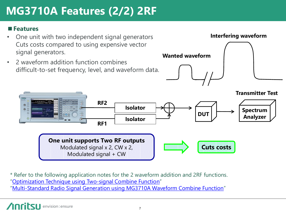# **MG3710A Features (2/2) 2RF**

#### ■**Features**

- One unit with two independent signal generators Cuts costs compared to using expensive vector signal generators.
- 2 waveform addition function combines difficult-to-set frequency, level, and waveform data.





\* Refer to the following application notes for the 2 waveform addition and 2RF functions. "[Optimization Technique using Two-signal Combine Function](https://www.anritsu.com/en-AU/test-measurement/support/downloads/application-notes/dwl009865)" "[Multi-Standard Radio Signal Generation using MG3710A Waveform Combine Function](https://www.anritsu.com/en-AU/test-measurement/support/downloads/application-notes/dwl009465)"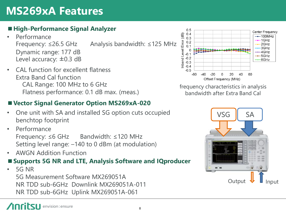## **MS269xA Features**

#### ■**High-Performance Signal Analyzer**

- **Performance** Frequency: ≤26.5 GHz Analysis bandwidth: ≤125 MHz Dynamic range: 177 dB Level accuracy: ±0.3 dB
- CAL function for excellent flatness Extra Band Cal function CAL Range: 100 MHz to 6 GHz Flatness performance: 0.1 dB max. (meas.)

#### ■ Vector Signal Generator Option MS269xA-020

- One unit with SA and installed SG option cuts occupied benchtop footprint
- Performance Frequency: ≤6 GHz Bandwidth: ≤120 MHz Setting level range: –140 to 0 dBm (at modulation)
- AWGN Addition Function

#### ■ Supports 5G NR and LTE, Analysis Software and IQproducer

• 5G NR 5G Measurement Software MX269051A NR TDD sub-6GHz Downlink MX269051A-011 NR TDD sub-6GHz Uplink MX269051A-061



frequency characteristics in analysis bandwidth after Extra Band Cal